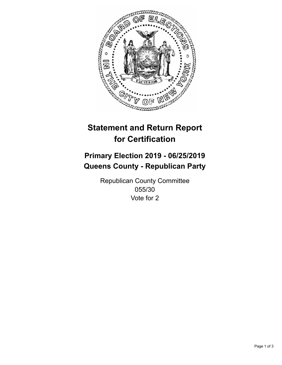

## **Statement and Return Report for Certification**

## **Primary Election 2019 - 06/25/2019 Queens County - Republican Party**

Republican County Committee 055/30 Vote for 2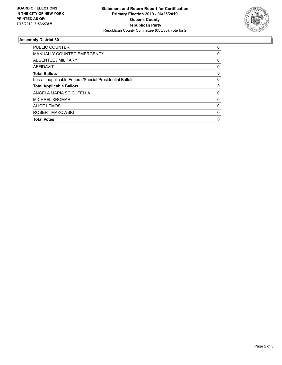

## **Assembly District 30**

| ROBERT MAKOWSKI<br><b>Total Votes</b>                    | 0<br>0 |
|----------------------------------------------------------|--------|
| <b>ALICE LEMOS</b>                                       | 0      |
| <b>MICHAEL KROMAR</b>                                    | 0      |
| ANGELA MARIA SCICUTELLA                                  | 0      |
| <b>Total Applicable Ballots</b>                          | 0      |
| Less - Inapplicable Federal/Special Presidential Ballots | 0      |
| <b>Total Ballots</b>                                     | 0      |
| AFFIDAVIT                                                | 0      |
| ABSENTEE / MILITARY                                      | 0      |
| <b>MANUALLY COUNTED EMERGENCY</b>                        | 0      |
| PUBLIC COUNTER                                           | 0      |